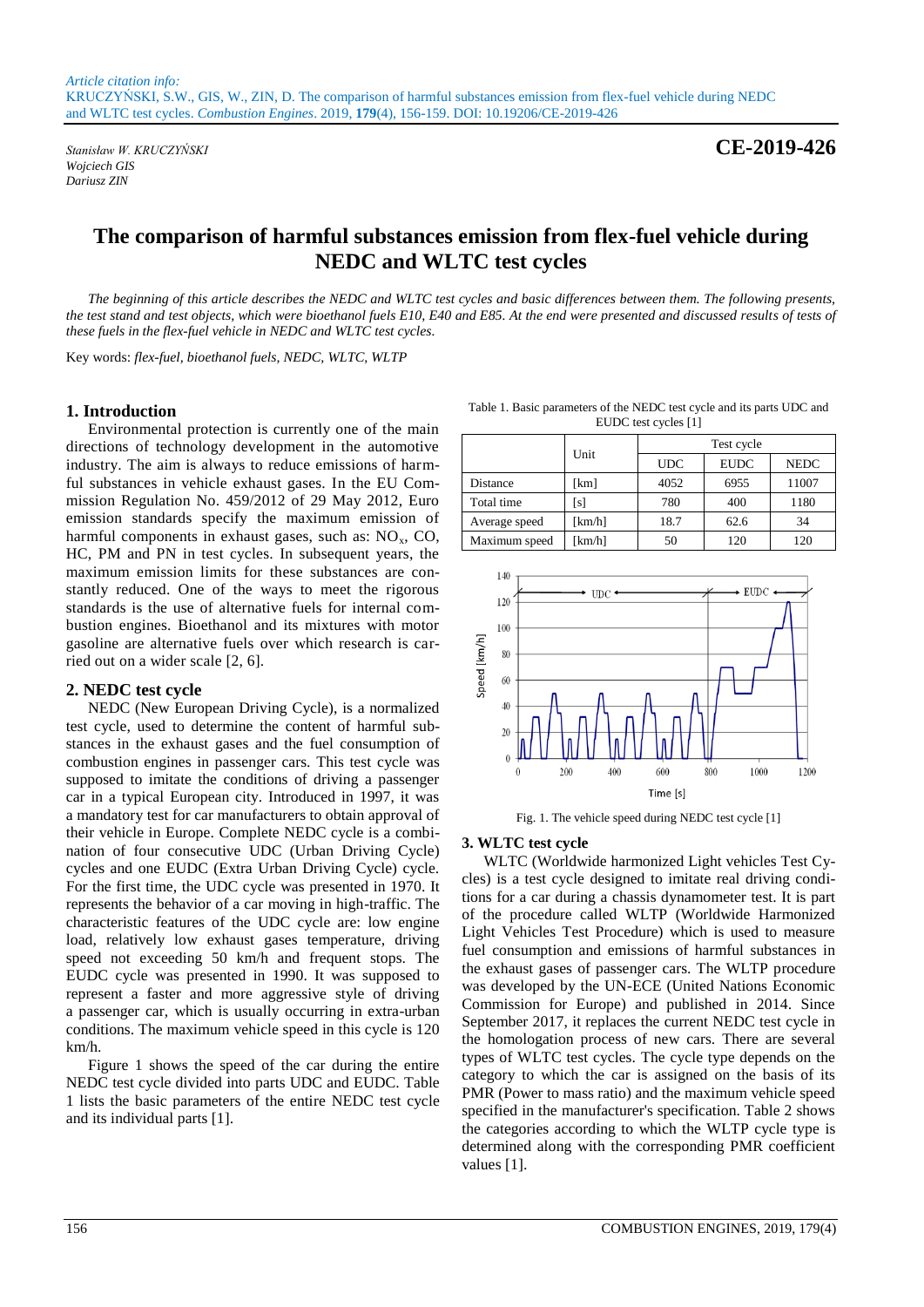*Wojciech GIS Dariusz ZIN*

*Stanisław W. KRUCZYŃSKI* **CE-2019-426**

# **The comparison of harmful substances emission from flex-fuel vehicle during NEDC and WLTC test cycles**

*The beginning of this article describes the NEDC and WLTC test cycles and basic differences between them. The following presents,*  the test stand and test objects, which were bioethanol fuels E10, E40 and E85. At the end were presented and discussed results of tests of *these fuels in the flex-fuel vehicle in NEDC and WLTC test cycles.*

Key words: *flex-fuel, bioethanol fuels, NEDC, WLTC, WLTP*

### **1. Introduction**

Environmental protection is currently one of the main directions of technology development in the automotive industry. The aim is always to reduce emissions of harmful substances in vehicle exhaust gases. In the EU Commission Regulation No. 459/2012 of 29 May 2012, Euro emission standards specify the maximum emission of harmful components in exhaust gases, such as:  $NO<sub>x</sub>$ ,  $CO<sub>x</sub>$ , HC, PM and PN in test cycles. In subsequent years, the maximum emission limits for these substances are constantly reduced. One of the ways to meet the rigorous standards is the use of alternative fuels for internal combustion engines. Bioethanol and its mixtures with motor gasoline are alternative fuels over which research is carried out on a wider scale [2, 6].

#### **2. NEDC test cycle**

NEDC (New European Driving Cycle), is a normalized test cycle, used to determine the content of harmful substances in the exhaust gases and the fuel consumption of combustion engines in passenger cars. This test cycle was supposed to imitate the conditions of driving a passenger car in a typical European city. Introduced in 1997, it was a mandatory test for car manufacturers to obtain approval of their vehicle in Europe. Complete NEDC cycle is a combination of four consecutive UDC (Urban Driving Cycle) cycles and one EUDC (Extra Urban Driving Cycle) cycle. For the first time, the UDC cycle was presented in 1970. It represents the behavior of a car moving in high-traffic. The characteristic features of the UDC cycle are: low engine load, relatively low exhaust gases temperature, driving speed not exceeding 50 km/h and frequent stops. The EUDC cycle was presented in 1990. It was supposed to represent a faster and more aggressive style of driving a passenger car, which is usually occurring in extra-urban conditions. The maximum vehicle speed in this cycle is 120 km/h.

Figure 1 shows the speed of the car during the entire NEDC test cycle divided into parts UDC and EUDC. Table 1 lists the basic parameters of the entire NEDC test cycle and its individual parts [1].

Table 1. Basic parameters of the NEDC test cycle and its parts UDC and EUDC test cycles [1]

|               | Unit   | Test cycle |             |             |
|---------------|--------|------------|-------------|-------------|
|               |        | <b>UDC</b> | <b>EUDC</b> | <b>NEDC</b> |
| Distance      | [km]   | 4052       | 6955        | 11007       |
| Total time    | [s]    | 780        | 400         | 1180        |
| Average speed | [km/h] | 18.7       | 62.6        | 34          |
| Maximum speed | [km/h] | 50         | 120         | 120         |



Fig. 1. The vehicle speed during NEDC test cycle [1]

#### **3. WLTC test cycle**

WLTC (Worldwide harmonized Light vehicles Test Cycles) is a test cycle designed to imitate real driving conditions for a car during a chassis dynamometer test. It is part of the procedure called WLTP (Worldwide Harmonized Light Vehicles Test Procedure) which is used to measure fuel consumption and emissions of harmful substances in the exhaust gases of passenger cars. The WLTP procedure was developed by the UN-ECE (United Nations Economic Commission for Europe) and published in 2014. Since September 2017, it replaces the current NEDC test cycle in the homologation process of new cars. There are several types of WLTC test cycles. The cycle type depends on the category to which the car is assigned on the basis of its PMR (Power to mass ratio) and the maximum vehicle speed specified in the manufacturer's specification. Table 2 shows the categories according to which the WLTP cycle type is determined along with the corresponding PMR coefficient values [1].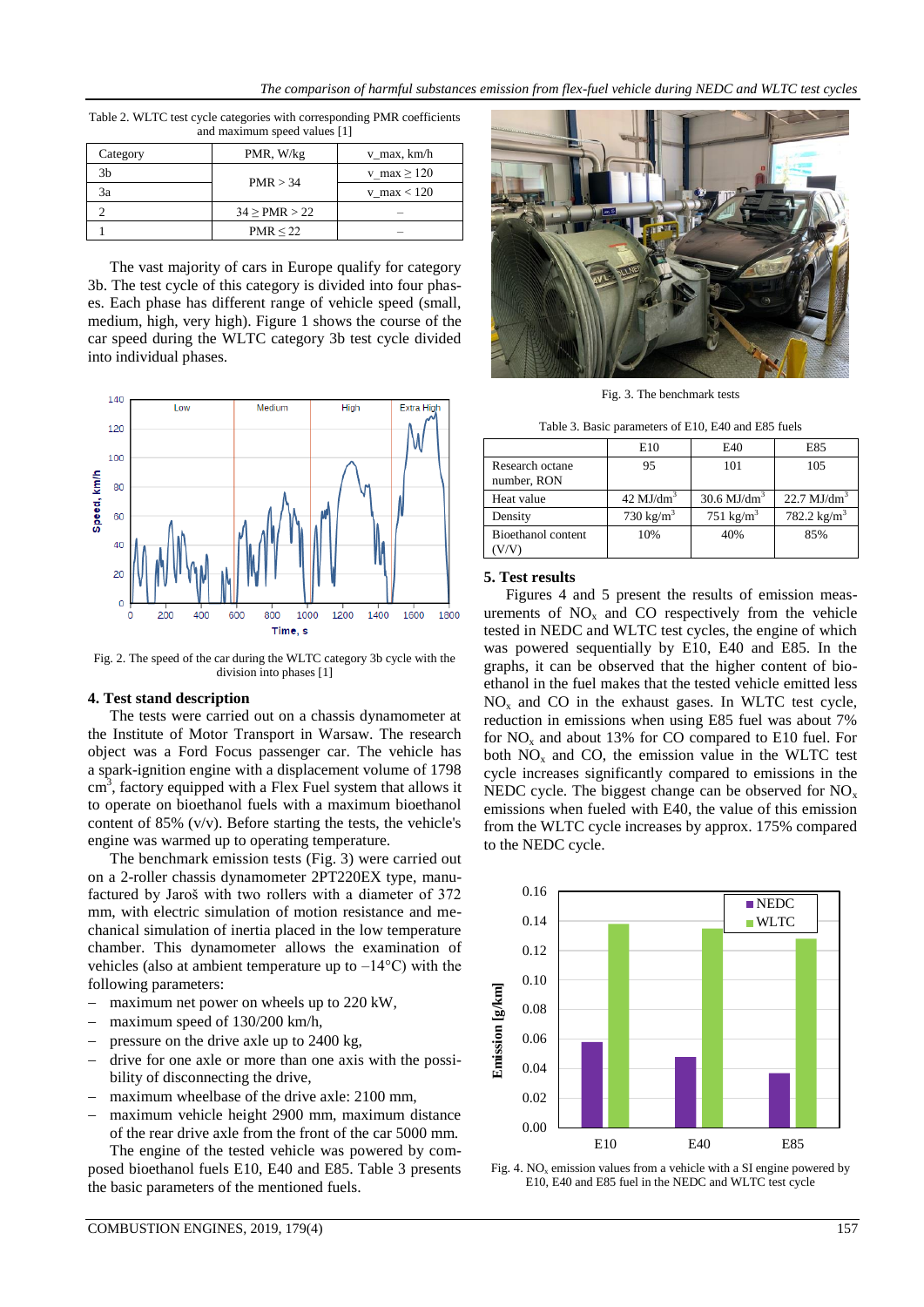| $\frac{1}{2}$ |                    |                 |  |  |
|---------------|--------------------|-----------------|--|--|
| Category      | PMR, W/kg          | v_max, km/h     |  |  |
| 3b            | PMR > 34           | v max $\ge$ 120 |  |  |
| 3a            |                    | v max $< 120$   |  |  |
|               | $34 \geq PMR > 22$ |                 |  |  |
|               | PMR < 22           |                 |  |  |

Table 2. WLTC test cycle categories with corresponding PMR coefficients and maximum speed values [1]

The vast majority of cars in Europe qualify for category 3b. The test cycle of this category is divided into four phases. Each phase has different range of vehicle speed (small, medium, high, very high). Figure 1 shows the course of the car speed during the WLTC category 3b test cycle divided into individual phases.



Fig. 2. The speed of the car during the WLTC category 3b cycle with the division into phases [1]

#### **4. Test stand description**

The tests were carried out on a chassis dynamometer at the Institute of Motor Transport in Warsaw. The research object was a Ford Focus passenger car. The vehicle has a spark-ignition engine with a displacement volume of 1798  $\text{cm}^3$ , factory equipped with a Flex Fuel system that allows it to operate on bioethanol fuels with a maximum bioethanol content of 85% (v/v). Before starting the tests, the vehicle's engine was warmed up to operating temperature.

The benchmark emission tests (Fig. 3) were carried out on a 2-roller chassis dynamometer 2PT220EX type, manufactured by Jaroš with two rollers with a diameter of 372 mm, with electric simulation of motion resistance and mechanical simulation of inertia placed in the low temperature chamber. This dynamometer allows the examination of vehicles (also at ambient temperature up to  $-14^{\circ}$ C) with the following parameters:

- maximum net power on wheels up to 220 kW,
- maximum speed of 130/200 km/h,
- pressure on the drive axle up to 2400 kg,
- drive for one axle or more than one axis with the possibility of disconnecting the drive,
- maximum wheelbase of the drive axle: 2100 mm,
- maximum vehicle height 2900 mm, maximum distance of the rear drive axle from the front of the car 5000 mm.

The engine of the tested vehicle was powered by composed bioethanol fuels E10, E40 and E85. Table 3 presents the basic parameters of the mentioned fuels.



Fig. 3. The benchmark tests

Table 3. Basic parameters of E10, E40 and E85 fuels

|                                | E10                  | E40                       | E85                    |
|--------------------------------|----------------------|---------------------------|------------------------|
| Research octane<br>number, RON | 95                   | 101                       | 105                    |
| Heat value                     | $42 \text{ MJ/dm}^3$ | $30.6$ MJ/dm <sup>3</sup> | $22.7 \text{ MJ/dm}^3$ |
| Density                        | $730 \text{ kg/m}^3$ | $751 \text{ kg/m}^3$      | 782.2 $\text{kg/m}^3$  |
| Bioethanol content             | 10%                  | 40%                       | 85%                    |

## **5. Test results**

Figures 4 and 5 present the results of emission measurements of  $NO<sub>x</sub>$  and CO respectively from the vehicle tested in NEDC and WLTC test cycles, the engine of which was powered sequentially by E10, E40 and E85. In the graphs, it can be observed that the higher content of bioethanol in the fuel makes that the tested vehicle emitted less  $NO<sub>x</sub>$  and CO in the exhaust gases. In WLTC test cycle, reduction in emissions when using E85 fuel was about 7% for  $NO<sub>x</sub>$  and about 13% for CO compared to E10 fuel. For both  $NO<sub>x</sub>$  and CO, the emission value in the WLTC test cycle increases significantly compared to emissions in the NEDC cycle. The biggest change can be observed for  $NO<sub>x</sub>$ emissions when fueled with E40, the value of this emission from the WLTC cycle increases by approx. 175% compared to the NEDC cycle.



Fig. 4.  $NO<sub>x</sub>$  emission values from a vehicle with a SI engine powered by E10, E40 and E85 fuel in the NEDC and WLTC test cycle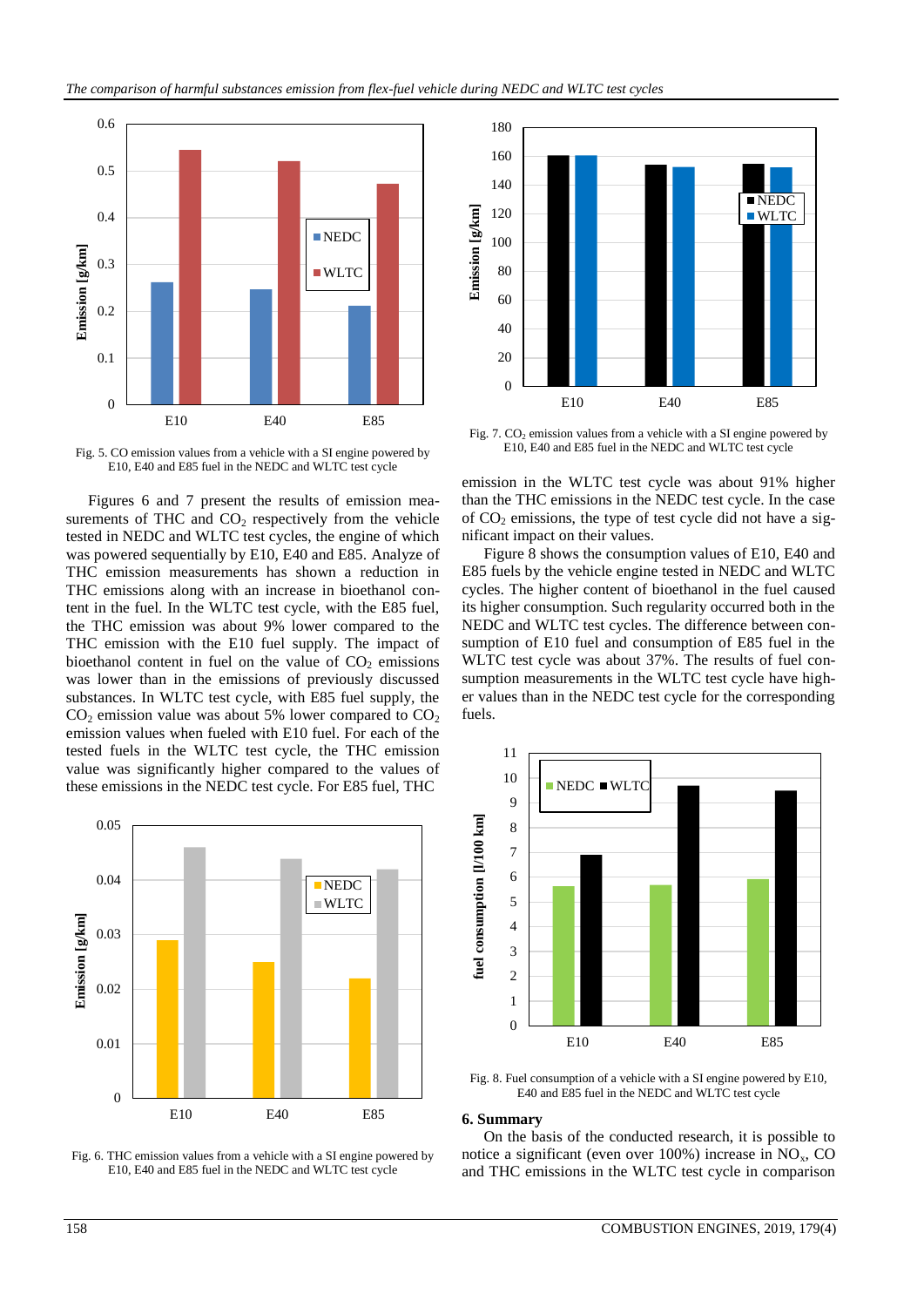

Fig. 5. CO emission values from a vehicle with a SI engine powered by E10, E40 and E85 fuel in the NEDC and WLTC test cycle

Figures 6 and 7 present the results of emission measurements of THC and  $CO<sub>2</sub>$  respectively from the vehicle tested in NEDC and WLTC test cycles, the engine of which was powered sequentially by E10, E40 and E85. Analyze of THC emission measurements has shown a reduction in THC emissions along with an increase in bioethanol content in the fuel. In the WLTC test cycle, with the E85 fuel, the THC emission was about 9% lower compared to the THC emission with the E10 fuel supply. The impact of bioethanol content in fuel on the value of  $CO<sub>2</sub>$  emissions was lower than in the emissions of previously discussed substances. In WLTC test cycle, with E85 fuel supply, the  $CO<sub>2</sub>$  emission value was about 5% lower compared to  $CO<sub>2</sub>$ emission values when fueled with E10 fuel. For each of the tested fuels in the WLTC test cycle, the THC emission value was significantly higher compared to the values of these emissions in the NEDC test cycle. For E85 fuel, THC



Fig. 6. THC emission values from a vehicle with a SI engine powered by E10, E40 and E85 fuel in the NEDC and WLTC test cycle



Fig. 7. CO<sub>2</sub> emission values from a vehicle with a SI engine powered by E10, E40 and E85 fuel in the NEDC and WLTC test cycle

emission in the WLTC test cycle was about 91% higher than the THC emissions in the NEDC test cycle. In the case of  $CO<sub>2</sub>$  emissions, the type of test cycle did not have a significant impact on their values.

Figure 8 shows the consumption values of E10, E40 and E85 fuels by the vehicle engine tested in NEDC and WLTC cycles. The higher content of bioethanol in the fuel caused its higher consumption. Such regularity occurred both in the NEDC and WLTC test cycles. The difference between consumption of E10 fuel and consumption of E85 fuel in the WLTC test cycle was about 37%. The results of fuel consumption measurements in the WLTC test cycle have higher values than in the NEDC test cycle for the corresponding fuels.



Fig. 8. Fuel consumption of a vehicle with a SI engine powered by E10, E40 and E85 fuel in the NEDC and WLTC test cycle

#### **6. Summary**

On the basis of the conducted research, it is possible to notice a significant (even over  $100\%$ ) increase in NO<sub>x</sub>, CO and THC emissions in the WLTC test cycle in comparison